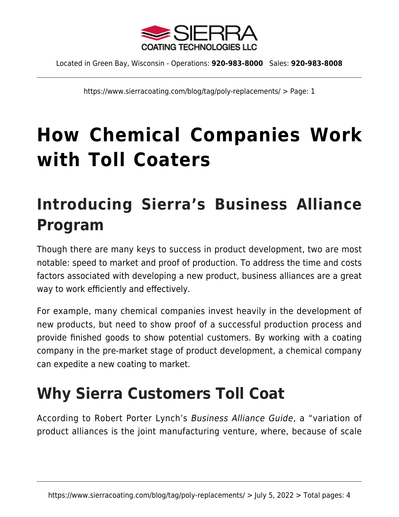

https://www.sierracoating.com/blog/tag/poly-replacements/ > Page: 1

# **[How Chemical Companies Work](https://www.sierracoating.com/blog/chemical-companies-work-toll-coaters/) [with Toll Coaters](https://www.sierracoating.com/blog/chemical-companies-work-toll-coaters/)**

## **Introducing Sierra's Business Alliance Program**

Though there are many keys to success in product development, two are most notable: speed to market and proof of production. To address the time and costs factors associated with developing a new product, business alliances are a great way to work efficiently and effectively.

For example, many chemical companies invest heavily in the development of new products, but need to show proof of a successful production process and provide finished goods to show potential customers. By working with a coating company in the pre-market stage of product development, a chemical company can expedite a new coating to market.

## **Why Sierra Customers Toll Coat**

According to Robert Porter Lynch's Business Alliance Guide, a "variation of product alliances is the joint manufacturing venture, where, because of scale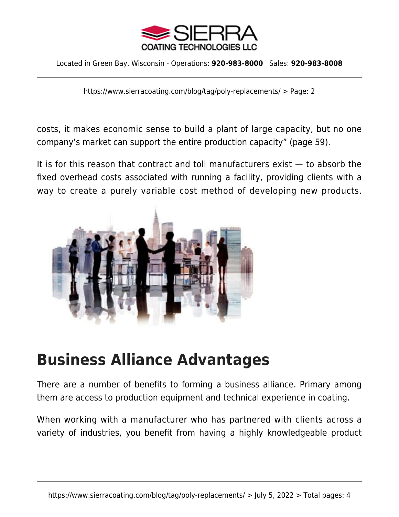

https://www.sierracoating.com/blog/tag/poly-replacements/ > Page: 2

costs, it makes economic sense to build a plant of large capacity, but no one company's market can support the entire production capacity" (page 59).

It is for this reason that contract and toll manufacturers exist — to absorb the fixed overhead costs associated with running a facility, providing clients with a way to create a purely variable cost method of developing new products.



#### **Business Alliance Advantages**

There are a number of benefits to forming a business alliance. Primary among them are access to production equipment and technical experience in coating.

When working with a manufacturer who has partnered with clients across a variety of industries, you benefit from having a highly knowledgeable product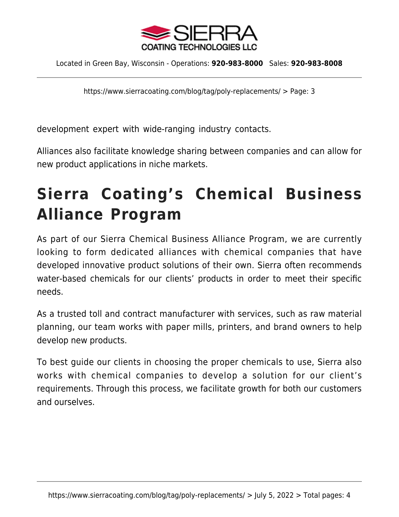

https://www.sierracoating.com/blog/tag/poly-replacements/ > Page: 3

development expert with wide-ranging industry contacts.

Alliances also facilitate knowledge sharing between companies and can allow for new product applications in niche markets.

## **Sierra Coating's Chemical Business Alliance Program**

As part of our [Sierra Chemical Business Alliance Program](https://www.sierracoating.com/business-alliance-program), we are currently looking to form dedicated alliances with chemical companies that have developed innovative product solutions of their own. Sierra often recommends water-based chemicals for our clients' products in order to meet their specific needs.

As a trusted toll and contract manufacturer with services, such as [raw material](https://www.sierracoating.com/raw-material-planning-in-manufacturing) [planning](https://www.sierracoating.com/raw-material-planning-in-manufacturing), our team works with paper mills, printers, and brand owners to help develop new products.

To best guide our clients in choosing the proper chemicals to use, Sierra also works with chemical companies to develop a solution for our client's requirements. Through this process, we facilitate growth for both our customers and ourselves.